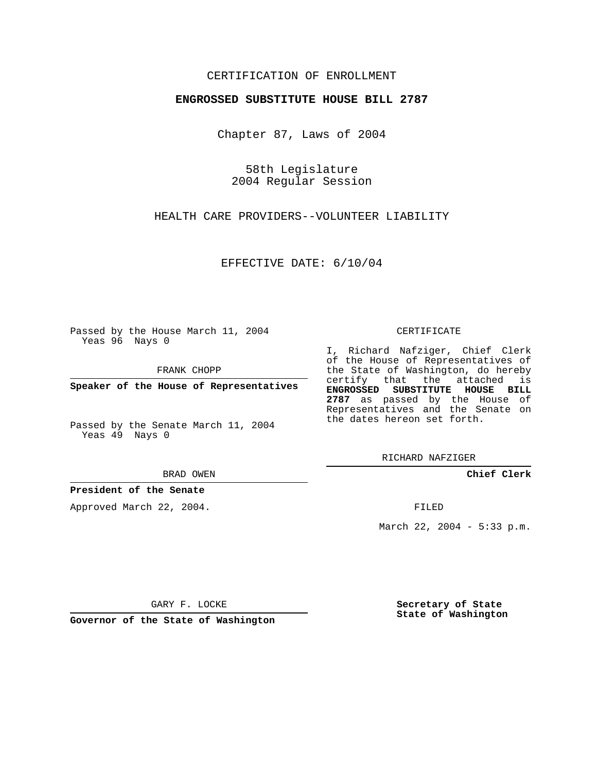## CERTIFICATION OF ENROLLMENT

#### **ENGROSSED SUBSTITUTE HOUSE BILL 2787**

Chapter 87, Laws of 2004

58th Legislature 2004 Regular Session

HEALTH CARE PROVIDERS--VOLUNTEER LIABILITY

EFFECTIVE DATE: 6/10/04

Passed by the House March 11, 2004 Yeas 96 Nays 0

FRANK CHOPP

**Speaker of the House of Representatives**

Passed by the Senate March 11, 2004 Yeas 49 Nays 0

BRAD OWEN

#### **President of the Senate**

Approved March 22, 2004.

CERTIFICATE

I, Richard Nafziger, Chief Clerk of the House of Representatives of the State of Washington, do hereby certify that the attached is **ENGROSSED SUBSTITUTE HOUSE BILL 2787** as passed by the House of Representatives and the Senate on the dates hereon set forth.

RICHARD NAFZIGER

**Chief Clerk**

FILED

March 22, 2004 - 5:33 p.m.

GARY F. LOCKE

**Governor of the State of Washington**

**Secretary of State State of Washington**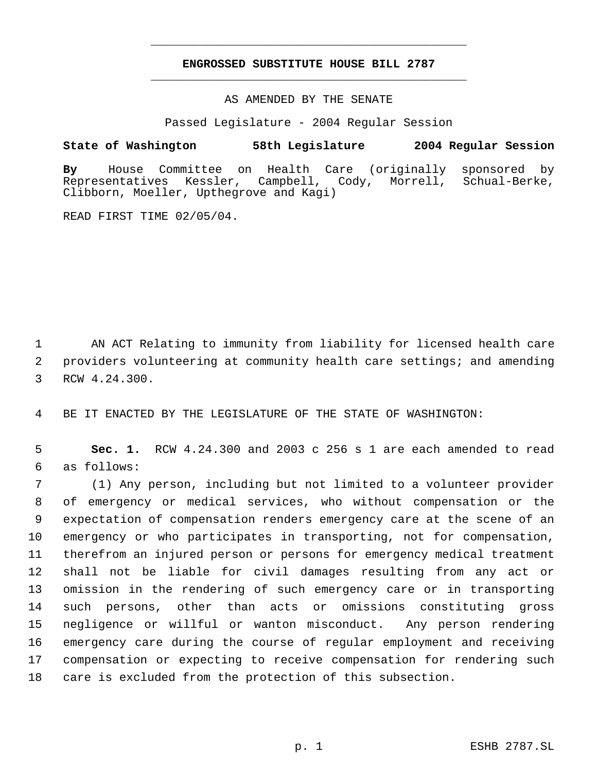# **ENGROSSED SUBSTITUTE HOUSE BILL 2787** \_\_\_\_\_\_\_\_\_\_\_\_\_\_\_\_\_\_\_\_\_\_\_\_\_\_\_\_\_\_\_\_\_\_\_\_\_\_\_\_\_\_\_\_\_

\_\_\_\_\_\_\_\_\_\_\_\_\_\_\_\_\_\_\_\_\_\_\_\_\_\_\_\_\_\_\_\_\_\_\_\_\_\_\_\_\_\_\_\_\_

AS AMENDED BY THE SENATE

Passed Legislature - 2004 Regular Session

### **State of Washington 58th Legislature 2004 Regular Session**

**By** House Committee on Health Care (originally sponsored by Campbell, Cody, Morrell, Clibborn, Moeller, Upthegrove and Kagi)

READ FIRST TIME 02/05/04.

 AN ACT Relating to immunity from liability for licensed health care providers volunteering at community health care settings; and amending RCW 4.24.300.

BE IT ENACTED BY THE LEGISLATURE OF THE STATE OF WASHINGTON:

 **Sec. 1.** RCW 4.24.300 and 2003 c 256 s 1 are each amended to read as follows:

 (1) Any person, including but not limited to a volunteer provider of emergency or medical services, who without compensation or the expectation of compensation renders emergency care at the scene of an emergency or who participates in transporting, not for compensation, therefrom an injured person or persons for emergency medical treatment shall not be liable for civil damages resulting from any act or omission in the rendering of such emergency care or in transporting such persons, other than acts or omissions constituting gross negligence or willful or wanton misconduct. Any person rendering emergency care during the course of regular employment and receiving compensation or expecting to receive compensation for rendering such care is excluded from the protection of this subsection.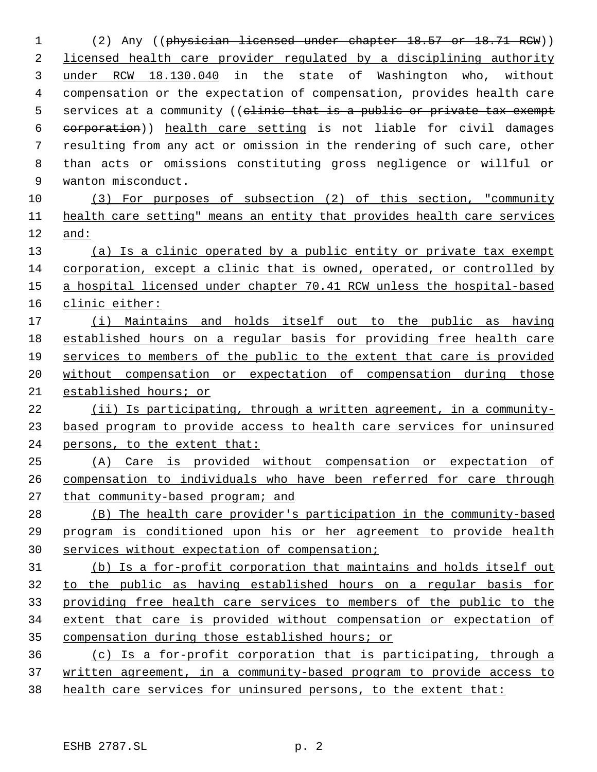(2) Any ((physician licensed under chapter 18.57 or 18.71 RCW)) licensed health care provider regulated by a disciplining authority under RCW 18.130.040 in the state of Washington who, without compensation or the expectation of compensation, provides health care 5 services at a community ((clinic that is a public or private tax exempt corporation)) health care setting is not liable for civil damages resulting from any act or omission in the rendering of such care, other than acts or omissions constituting gross negligence or willful or wanton misconduct. (3) For purposes of subsection (2) of this section, "community health care setting" means an entity that provides health care services and: (a) Is a clinic operated by a public entity or private tax exempt corporation, except a clinic that is owned, operated, or controlled by a hospital licensed under chapter 70.41 RCW unless the hospital-based clinic either: (i) Maintains and holds itself out to the public as having established hours on a regular basis for providing free health care services to members of the public to the extent that care is provided without compensation or expectation of compensation during those established hours; or (ii) Is participating, through a written agreement, in a community- based program to provide access to health care services for uninsured persons, to the extent that: (A) Care is provided without compensation or expectation of compensation to individuals who have been referred for care through that community-based program; and (B) The health care provider's participation in the community-based program is conditioned upon his or her agreement to provide health services without expectation of compensation; (b) Is a for-profit corporation that maintains and holds itself out to the public as having established hours on a regular basis for providing free health care services to members of the public to the extent that care is provided without compensation or expectation of compensation during those established hours; or (c) Is a for-profit corporation that is participating, through a written agreement, in a community-based program to provide access to 38 health care services for uninsured persons, to the extent that: